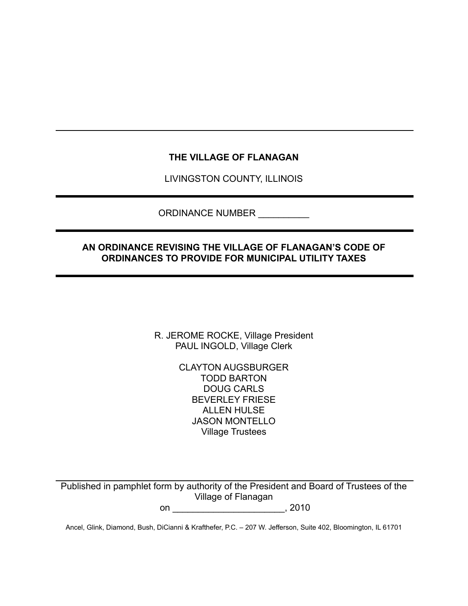# **THE VILLAGE OF FLANAGAN**

LIVINGSTON COUNTY, ILLINOIS

ORDINANCE NUMBER \_\_\_\_\_\_\_\_\_\_

## **AN ORDINANCE REVISING THE VILLAGE OF FLANAGAN'S CODE OF ORDINANCES TO PROVIDE FOR MUNICIPAL UTILITY TAXES**

R. JEROME ROCKE, Village President PAUL INGOLD, Village Clerk

> CLAYTON AUGSBURGER TODD BARTON DOUG CARLS BEVERLEY FRIESE ALLEN HULSE JASON MONTELLO Village Trustees

Published in pamphlet form by authority of the President and Board of Trustees of the Village of Flanagan

on \_\_\_\_\_\_\_\_\_\_\_\_\_\_\_\_\_\_\_\_\_\_, 2010

Ancel, Glink, Diamond, Bush, DiCianni & Krafthefer, P.C. – 207 W. Jefferson, Suite 402, Bloomington, IL 61701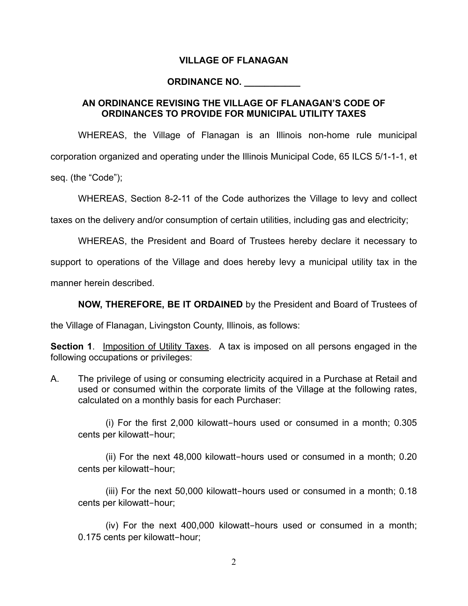#### **VILLAGE OF FLANAGAN**

#### **ORDINANCE NO. \_\_\_\_\_\_\_\_\_\_\_**

#### **AN ORDINANCE REVISING THE VILLAGE OF FLANAGAN'S CODE OF ORDINANCES TO PROVIDE FOR MUNICIPAL UTILITY TAXES**

WHEREAS, the Village of Flanagan is an Illinois non-home rule municipal corporation organized and operating under the Illinois Municipal Code, 65 ILCS 5/1-1-1, et seq. (the "Code");

WHEREAS, Section 8-2-11 of the Code authorizes the Village to levy and collect

taxes on the delivery and/or consumption of certain utilities, including gas and electricity;

WHEREAS, the President and Board of Trustees hereby declare it necessary to

support to operations of the Village and does hereby levy a municipal utility tax in the

manner herein described.

**NOW, THEREFORE, BE IT ORDAINED** by the President and Board of Trustees of

the Village of Flanagan, Livingston County, Illinois, as follows:

**Section 1.** Imposition of Utility Taxes. A tax is imposed on all persons engaged in the following occupations or privileges:

A. The privilege of using or consuming electricity acquired in a Purchase at Retail and used or consumed within the corporate limits of the Village at the following rates, calculated on a monthly basis for each Purchaser:

(i) For the first 2,000 kilowatt-hours used or consumed in a month; 0.305 cents per kilowatt-hour;

(ii) For the next 48,000 kilowatt-hours used or consumed in a month; 0.20 cents per kilowatt-hour;

(iii) For the next 50,000 kilowatt-hours used or consumed in a month; 0.18 cents per kilowatt-hour;

(iv) For the next 400,000 kilowatt-hours used or consumed in a month; 0.175 cents per kilowatt-hour;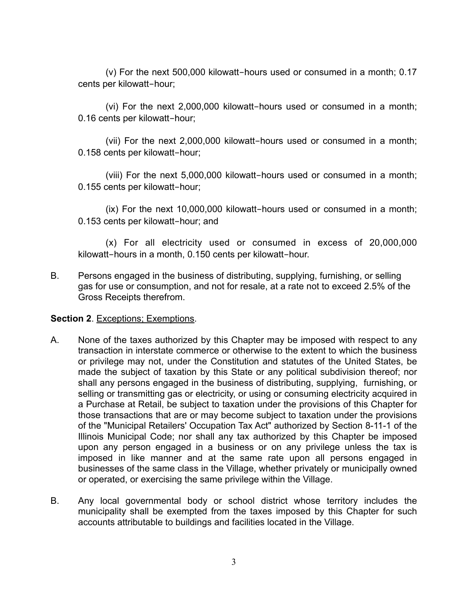(v) For the next 500,000 kilowatt-hours used or consumed in a month; 0.17 cents per kilowatt-hour;

(vi) For the next 2,000,000 kilowatt-hours used or consumed in a month; 0.16 cents per kilowatt-hour;

(vii) For the next 2,000,000 kilowatt-hours used or consumed in a month; 0.158 cents per kilowatt-hour;

(viii) For the next 5,000,000 kilowatt-hours used or consumed in a month; 0.155 cents per kilowatt-hour;

(ix) For the next 10,000,000 kilowatt-hours used or consumed in a month; 0.153 cents per kilowatt-hour; and

(x) For all electricity used or consumed in excess of 20,000,000 kilowatt-hours in a month, 0.150 cents per kilowatt-hour.

B. Persons engaged in the business of distributing, supplying, furnishing, or selling gas for use or consumption, and not for resale, at a rate not to exceed 2.5% of the Gross Receipts therefrom.

### **Section 2. Exceptions; Exemptions.**

- A. None of the taxes authorized by this Chapter may be imposed with respect to any transaction in interstate commerce or otherwise to the extent to which the business or privilege may not, under the Constitution and statutes of the United States, be made the subject of taxation by this State or any political subdivision thereof; nor shall any persons engaged in the business of distributing, supplying, furnishing, or selling or transmitting gas or electricity, or using or consuming electricity acquired in a Purchase at Retail, be subject to taxation under the provisions of this Chapter for those transactions that are or may become subject to taxation under the provisions of the "Municipal Retailers' Occupation Tax Act" authorized by Section 8-11-1 of the Illinois Municipal Code; nor shall any tax authorized by this Chapter be imposed upon any person engaged in a business or on any privilege unless the tax is imposed in like manner and at the same rate upon all persons engaged in businesses of the same class in the Village, whether privately or municipally owned or operated, or exercising the same privilege within the Village.
- B. Any local governmental body or school district whose territory includes the municipality shall be exempted from the taxes imposed by this Chapter for such accounts attributable to buildings and facilities located in the Village.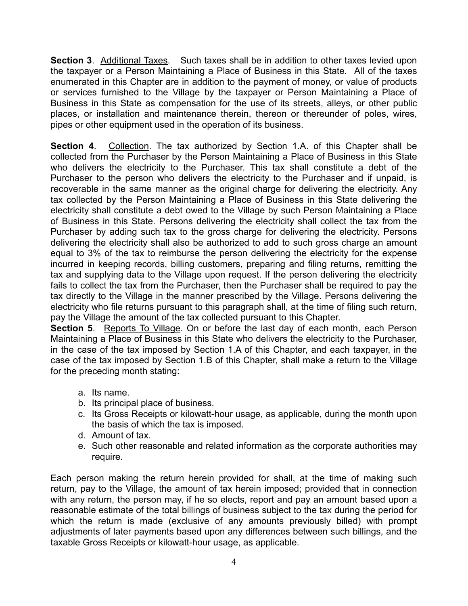**Section 3**. Additional Taxes. Such taxes shall be in addition to other taxes levied upon the taxpayer or a Person Maintaining a Place of Business in this State. All of the taxes enumerated in this Chapter are in addition to the payment of money, or value of products or services furnished to the Village by the taxpayer or Person Maintaining a Place of Business in this State as compensation for the use of its streets, alleys, or other public places, or installation and maintenance therein, thereon or thereunder of poles, wires, pipes or other equipment used in the operation of its business.

**Section 4.** Collection. The tax authorized by Section 1.A. of this Chapter shall be collected from the Purchaser by the Person Maintaining a Place of Business in this State who delivers the electricity to the Purchaser. This tax shall constitute a debt of the Purchaser to the person who delivers the electricity to the Purchaser and if unpaid, is recoverable in the same manner as the original charge for delivering the electricity. Any tax collected by the Person Maintaining a Place of Business in this State delivering the electricity shall constitute a debt owed to the Village by such Person Maintaining a Place of Business in this State. Persons delivering the electricity shall collect the tax from the Purchaser by adding such tax to the gross charge for delivering the electricity. Persons delivering the electricity shall also be authorized to add to such gross charge an amount equal to 3% of the tax to reimburse the person delivering the electricity for the expense incurred in keeping records, billing customers, preparing and filing returns, remitting the tax and supplying data to the Village upon request. If the person delivering the electricity fails to collect the tax from the Purchaser, then the Purchaser shall be required to pay the tax directly to the Village in the manner prescribed by the Village. Persons delivering the electricity who file returns pursuant to this paragraph shall, at the time of filing such return, pay the Village the amount of the tax collected pursuant to this Chapter.

**Section 5.** Reports To Village. On or before the last day of each month, each Person Maintaining a Place of Business in this State who delivers the electricity to the Purchaser, in the case of the tax imposed by Section 1.A of this Chapter, and each taxpayer, in the case of the tax imposed by Section 1.B of this Chapter, shall make a return to the Village for the preceding month stating:

- a. Its name.
- b. Its principal place of business.
- c. Its Gross Receipts or kilowatt-hour usage, as applicable, during the month upon the basis of which the tax is imposed.
- d. Amount of tax.
- e. Such other reasonable and related information as the corporate authorities may require.

Each person making the return herein provided for shall, at the time of making such return, pay to the Village, the amount of tax herein imposed; provided that in connection with any return, the person may, if he so elects, report and pay an amount based upon a reasonable estimate of the total billings of business subject to the tax during the period for which the return is made (exclusive of any amounts previously billed) with prompt adjustments of later payments based upon any differences between such billings, and the taxable Gross Receipts or kilowatt-hour usage, as applicable.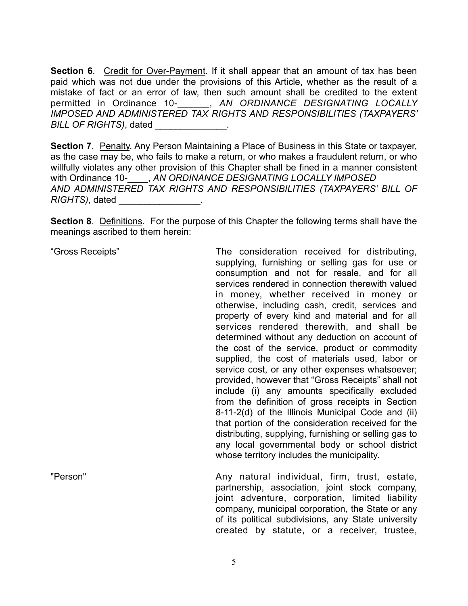**Section 6.** Credit for Over-Payment. If it shall appear that an amount of tax has been paid which was not due under the provisions of this Article, whether as the result of a mistake of fact or an error of law, then such amount shall be credited to the extent permitted in Ordinance 10-\_\_\_\_\_\_, *AN ORDINANCE DESIGNATING LOCALLY IMPOSED AND ADMINISTERED TAX RIGHTS AND RESPONSIBILITIES (TAXPAYERS' BILL OF RIGHTS)*, dated

**Section 7.** Penalty. Any Person Maintaining a Place of Business in this State or taxpayer, as the case may be, who fails to make a return, or who makes a fraudulent return, or who willfully violates any other provision of this Chapter shall be fined in a manner consistent with Ordinance 10-**\_\_\_\_, AN ORDINANCE DESIGNATING LOCALLY IMPOSED** *AND ADMINISTERED TAX RIGHTS AND RESPONSIBILITIES (TAXPAYERS' BILL OF RIGHTS*), dated

**Section 8**. Definitions. For the purpose of this Chapter the following terms shall have the meanings ascribed to them herein:

"Gross Receipts" The consideration received for distributing, supplying, furnishing or selling gas for use or consumption and not for resale, and for all services rendered in connection therewith valued in money, whether received in money or otherwise, including cash, credit, services and property of every kind and material and for all services rendered therewith, and shall be determined without any deduction on account of the cost of the service, product or commodity supplied, the cost of materials used, labor or service cost, or any other expenses whatsoever; provided, however that "Gross Receipts" shall not include (i) any amounts specifically excluded from the definition of gross receipts in Section 8-11-2(d) of the Illinois Municipal Code and (ii) that portion of the consideration received for the distributing, supplying, furnishing or selling gas to any local governmental body or school district whose territory includes the municipality.

"Person" **Any natural individual, firm, trust, estate,** " partnership, association, joint stock company, joint adventure, corporation, limited liability company, municipal corporation, the State or any of its political subdivisions, any State university created by statute, or a receiver, trustee,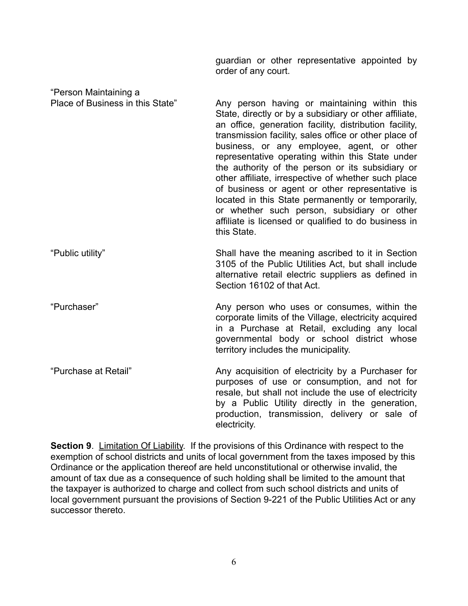guardian or other representative appointed by order of any court.

| "Person Maintaining a            |                                                                                                                                                                                                                                                                                                                                                                                                                                                                                                                                                                                                                                                                      |
|----------------------------------|----------------------------------------------------------------------------------------------------------------------------------------------------------------------------------------------------------------------------------------------------------------------------------------------------------------------------------------------------------------------------------------------------------------------------------------------------------------------------------------------------------------------------------------------------------------------------------------------------------------------------------------------------------------------|
| Place of Business in this State" | Any person having or maintaining within this<br>State, directly or by a subsidiary or other affiliate,<br>an office, generation facility, distribution facility,<br>transmission facility, sales office or other place of<br>business, or any employee, agent, or other<br>representative operating within this State under<br>the authority of the person or its subsidiary or<br>other affiliate, irrespective of whether such place<br>of business or agent or other representative is<br>located in this State permanently or temporarily,<br>or whether such person, subsidiary or other<br>affiliate is licensed or qualified to do business in<br>this State. |
| "Public utility"                 | Shall have the meaning ascribed to it in Section<br>3105 of the Public Utilities Act, but shall include<br>alternative retail electric suppliers as defined in<br>Section 16102 of that Act.                                                                                                                                                                                                                                                                                                                                                                                                                                                                         |
| "Purchaser"                      | Any person who uses or consumes, within the<br>corporate limits of the Village, electricity acquired<br>in a Purchase at Retail, excluding any local<br>governmental body or school district whose<br>territory includes the municipality.                                                                                                                                                                                                                                                                                                                                                                                                                           |
| "Purchase at Retail"             | Any acquisition of electricity by a Purchaser for<br>purposes of use or consumption, and not for<br>resale, but shall not include the use of electricity<br>by a Public Utility directly in the generation,<br>production, transmission, delivery or sale of<br>electricity.                                                                                                                                                                                                                                                                                                                                                                                         |

**Section 9**. Limitation Of Liability. If the provisions of this Ordinance with respect to the exemption of school districts and units of local government from the taxes imposed by this Ordinance or the application thereof are held unconstitutional or otherwise invalid, the amount of tax due as a consequence of such holding shall be limited to the amount that the taxpayer is authorized to charge and collect from such school districts and units of local government pursuant the provisions of Section 9-221 of the Public Utilities Act or any successor thereto.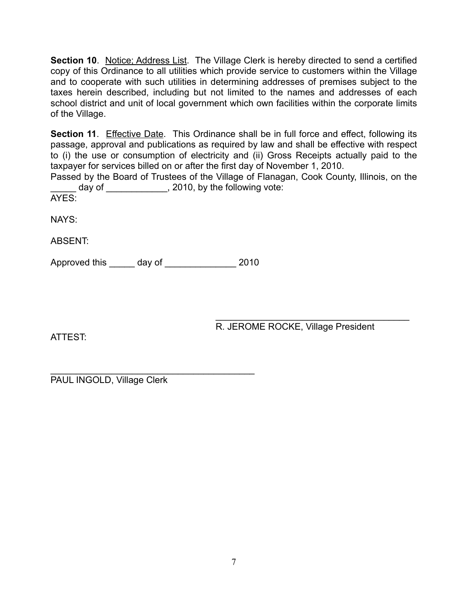**Section 10.** Notice; Address List. The Village Clerk is hereby directed to send a certified copy of this Ordinance to all utilities which provide service to customers within the Village and to cooperate with such utilities in determining addresses of premises subject to the taxes herein described, including but not limited to the names and addresses of each school district and unit of local government which own facilities within the corporate limits of the Village.

**Section 11.** Effective Date. This Ordinance shall be in full force and effect, following its passage, approval and publications as required by law and shall be effective with respect to (i) the use or consumption of electricity and (ii) Gross Receipts actually paid to the taxpayer for services billed on or after the first day of November 1, 2010.

Passed by the Board of Trustees of the Village of Flanagan, Cook County, Illinois, on the \_\_ day of \_\_\_\_\_\_\_\_\_\_\_\_\_, 2010, by the following vote:

AYES:

NAYS:

ABSENT:

Approved this \_\_\_\_\_ day of \_\_\_\_\_\_\_\_\_\_\_\_\_\_ 2010

ATTEST:

 $\frac{1}{\sqrt{2}}$  ,  $\frac{1}{\sqrt{2}}$  ,  $\frac{1}{\sqrt{2}}$  ,  $\frac{1}{\sqrt{2}}$  ,  $\frac{1}{\sqrt{2}}$  ,  $\frac{1}{\sqrt{2}}$  ,  $\frac{1}{\sqrt{2}}$  ,  $\frac{1}{\sqrt{2}}$  ,  $\frac{1}{\sqrt{2}}$  ,  $\frac{1}{\sqrt{2}}$  ,  $\frac{1}{\sqrt{2}}$  ,  $\frac{1}{\sqrt{2}}$  ,  $\frac{1}{\sqrt{2}}$  ,  $\frac{1}{\sqrt{2}}$  ,  $\frac{1}{\sqrt{2}}$ R. JEROME ROCKE, Village President

\_\_\_\_\_\_\_\_\_\_\_\_\_\_\_\_\_\_\_\_\_\_\_\_\_\_\_\_\_\_\_\_\_\_\_\_\_\_\_\_ PAUL INGOLD, Village Clerk